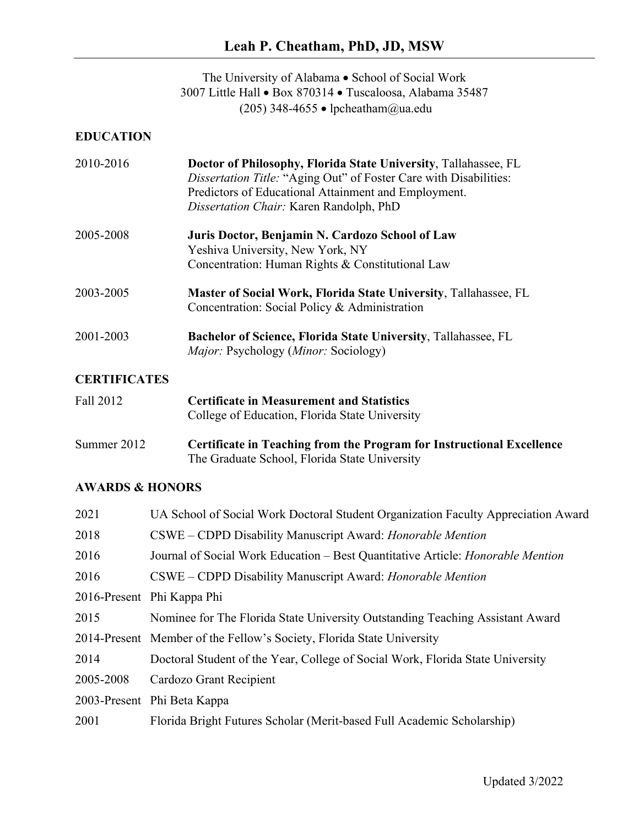The University of Alabama • School of Social Work 3007 Little Hall • Box 870314 • Tuscaloosa, Alabama 35487 (205) 348-4655 • lpcheatham@ua.edu

### **EDUCATION**

| 2010-2016         | Doctor of Philosophy, Florida State University, Tallahassee, FL<br>Dissertation Title: "Aging Out" of Foster Care with Disabilities:<br>Predictors of Educational Attainment and Employment.<br>Dissertation Chair: Karen Randolph, PhD |
|-------------------|-----------------------------------------------------------------------------------------------------------------------------------------------------------------------------------------------------------------------------------------|
| 2005-2008         | Juris Doctor, Benjamin N. Cardozo School of Law<br>Yeshiva University, New York, NY<br>Concentration: Human Rights & Constitutional Law                                                                                                 |
| 2003-2005         | <b>Master of Social Work, Florida State University, Tallahassee, FL</b><br>Concentration: Social Policy & Administration                                                                                                                |
| 2001-2003         | <b>Bachelor of Science, Florida State University, Tallahassee, FL</b><br><i>Major:</i> Psychology ( <i>Minor:</i> Sociology)                                                                                                            |
| ^******* <i>^</i> |                                                                                                                                                                                                                                         |

### **CERTIFICATES**

| Fall 2012   | <b>Certificate in Measurement and Statistics</b><br>College of Education, Florida State University                     |
|-------------|------------------------------------------------------------------------------------------------------------------------|
| Summer 2012 | Certificate in Teaching from the Program for Instructional Excellence<br>The Graduate School, Florida State University |

# **AWARDS & HONORS**

| 2021      | UA School of Social Work Doctoral Student Organization Faculty Appreciation Award      |
|-----------|----------------------------------------------------------------------------------------|
| 2018      | CSWE – CDPD Disability Manuscript Award: Honorable Mention                             |
| 2016      | Journal of Social Work Education – Best Quantitative Article: <i>Honorable Mention</i> |
| 2016      | CSWE – CDPD Disability Manuscript Award: Honorable Mention                             |
|           | 2016-Present Phi Kappa Phi                                                             |
| 2015      | Nominee for The Florida State University Outstanding Teaching Assistant Award          |
|           | 2014-Present Member of the Fellow's Society, Florida State University                  |
| 2014      | Doctoral Student of the Year, College of Social Work, Florida State University         |
| 2005-2008 | Cardozo Grant Recipient                                                                |
|           | 2003-Present Phi Beta Kappa                                                            |
| 2001      | Florida Bright Futures Scholar (Merit-based Full Academic Scholarship)                 |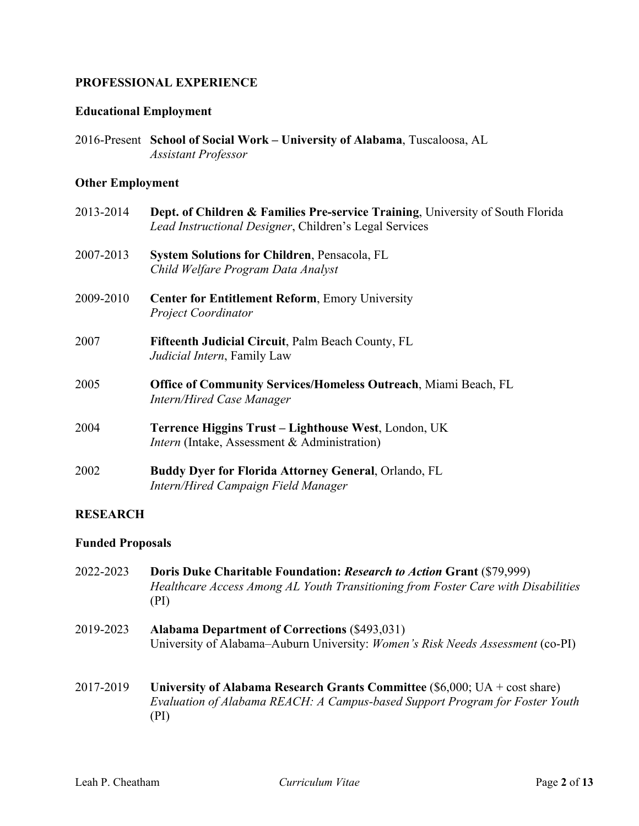### **PROFESSIONAL EXPERIENCE**

### **Educational Employment**

2016-Present **School of Social Work – University of Alabama**, Tuscaloosa, AL *Assistant Professor*

#### **Other Employment**

| 2013-2014 | Dept. of Children & Families Pre-service Training, University of South Florida<br>Lead Instructional Designer, Children's Legal Services |
|-----------|------------------------------------------------------------------------------------------------------------------------------------------|
| 2007-2013 | <b>System Solutions for Children, Pensacola, FL</b><br>Child Welfare Program Data Analyst                                                |
| 2009-2010 | <b>Center for Entitlement Reform, Emory University</b><br><b>Project Coordinator</b>                                                     |
| 2007      | <b>Fifteenth Judicial Circuit, Palm Beach County, FL</b><br><i>Judicial Intern</i> , Family Law                                          |
| 2005      | <b>Office of Community Services/Homeless Outreach, Miami Beach, FL</b><br><b>Intern/Hired Case Manager</b>                               |
| 2004      | Terrence Higgins Trust – Lighthouse West, London, UK<br><i>Intern</i> (Intake, Assessment & Administration)                              |
| 2002      | <b>Buddy Dyer for Florida Attorney General, Orlando, FL</b><br>Intern/Hired Campaign Field Manager                                       |

### **RESEARCH**

### **Funded Proposals**

- 2022-2023 **Doris Duke Charitable Foundation:** *Research to Action* **Grant** (\$79,999) *Healthcare Access Among AL Youth Transitioning from Foster Care with Disabilities* (PI)
- 2019-2023 **Alabama Department of Corrections** (\$493,031) University of Alabama–Auburn University: *Women's Risk Needs Assessment* (co-PI)
- 2017-2019 **University of Alabama Research Grants Committee** (\$6,000; UA + cost share) *Evaluation of Alabama REACH: A Campus-based Support Program for Foster Youth* (PI)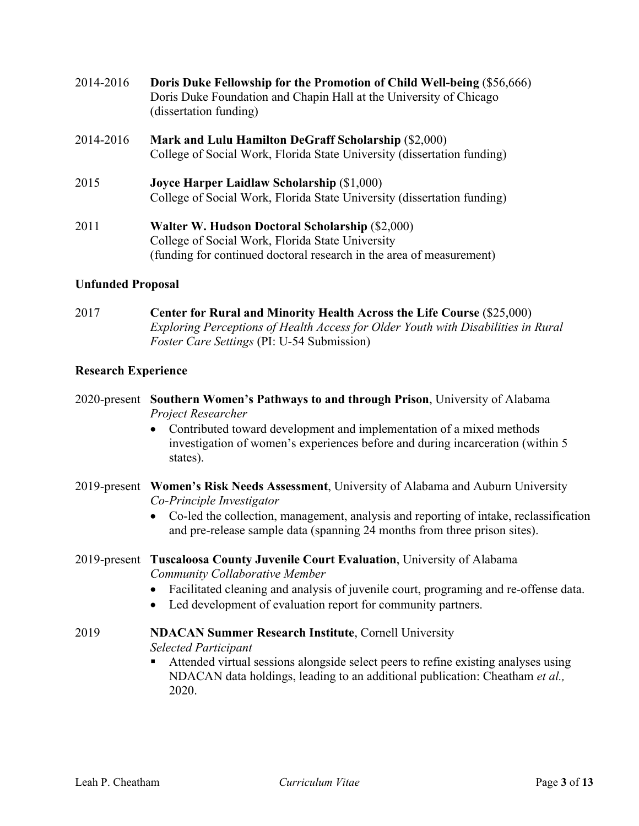- 2014-2016 **Doris Duke Fellowship for the Promotion of Child Well-being** (\$56,666) Doris Duke Foundation and Chapin Hall at the University of Chicago (dissertation funding)
- 2014-2016 **Mark and Lulu Hamilton DeGraff Scholarship** (\$2,000) College of Social Work, Florida State University (dissertation funding)
- 2015 **Joyce Harper Laidlaw Scholarship** (\$1,000) College of Social Work, Florida State University (dissertation funding)
- 2011 **Walter W. Hudson Doctoral Scholarship** (\$2,000) College of Social Work, Florida State University (funding for continued doctoral research in the area of measurement)

### **Unfunded Proposal**

2017 **Center for Rural and Minority Health Across the Life Course** (\$25,000) *Exploring Perceptions of Health Access for Older Youth with Disabilities in Rural Foster Care Settings* (PI: U-54 Submission)

### **Research Experience**

- 2020-present **Southern Women's Pathways to and through Prison**, University of Alabama *Project Researcher*
	- Contributed toward development and implementation of a mixed methods investigation of women's experiences before and during incarceration (within 5 states).
- 2019-present **Women's Risk Needs Assessment**, University of Alabama and Auburn University *Co-Principle Investigator*
	- Co-led the collection, management, analysis and reporting of intake, reclassification and pre-release sample data (spanning 24 months from three prison sites).

### 2019-present **Tuscaloosa County Juvenile Court Evaluation**, University of Alabama *Community Collaborative Member*

- Facilitated cleaning and analysis of juvenile court, programing and re-offense data.
- Led development of evaluation report for community partners.

### 2019 **NDACAN Summer Research Institute**, Cornell University

*Selected Participant*

§ Attended virtual sessions alongside select peers to refine existing analyses using NDACAN data holdings, leading to an additional publication: Cheatham *et al.,*  2020.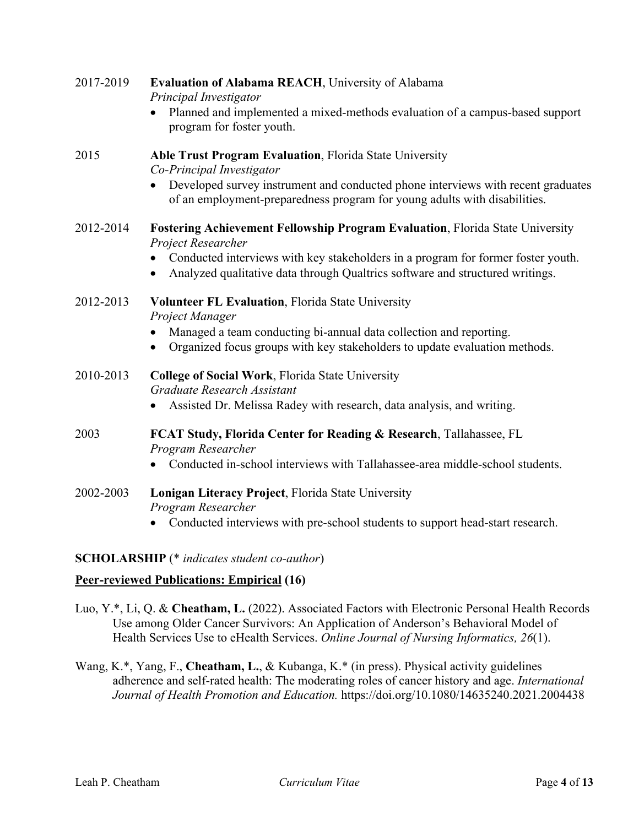| 2017-2019 | <b>Evaluation of Alabama REACH, University of Alabama</b><br>Principal Investigator                                                                               |
|-----------|-------------------------------------------------------------------------------------------------------------------------------------------------------------------|
|           | Planned and implemented a mixed-methods evaluation of a campus-based support<br>program for foster youth.                                                         |
| 2015      | Able Trust Program Evaluation, Florida State University<br>Co-Principal Investigator                                                                              |
|           | Developed survey instrument and conducted phone interviews with recent graduates<br>of an employment-preparedness program for young adults with disabilities.     |
| 2012-2014 | Fostering Achievement Fellowship Program Evaluation, Florida State University<br>Project Researcher                                                               |
|           | Conducted interviews with key stakeholders in a program for former foster youth.<br>Analyzed qualitative data through Qualtrics software and structured writings. |
| 2012-2013 | Volunteer FL Evaluation, Florida State University<br>Project Manager                                                                                              |
|           | Managed a team conducting bi-annual data collection and reporting.<br>Organized focus groups with key stakeholders to update evaluation methods.                  |
| 2010-2013 | <b>College of Social Work, Florida State University</b><br>Graduate Research Assistant                                                                            |
|           | Assisted Dr. Melissa Radey with research, data analysis, and writing.                                                                                             |
| 2003      | FCAT Study, Florida Center for Reading & Research, Tallahassee, FL<br>Program Researcher                                                                          |
|           | Conducted in-school interviews with Tallahassee-area middle-school students.                                                                                      |
| 2002-2003 | Lonigan Literacy Project, Florida State University<br>Program Researcher                                                                                          |
|           | Conducted interviews with pre-school students to support head-start research.                                                                                     |

# **SCHOLARSHIP** (\* *indicates student co-author*)

# **Peer-reviewed Publications: Empirical (16)**

- Luo, Y.\*, Li, Q. & **Cheatham, L.** (2022). Associated Factors with Electronic Personal Health Records Use among Older Cancer Survivors: An Application of Anderson's Behavioral Model of Health Services Use to eHealth Services. *Online Journal of Nursing Informatics, 26*(1).
- Wang, K.\*, Yang, F., **Cheatham, L.**, & Kubanga, K.\* (in press). Physical activity guidelines adherence and self-rated health: The moderating roles of cancer history and age. *International Journal of Health Promotion and Education.* https://doi.org/10.1080/14635240.2021.2004438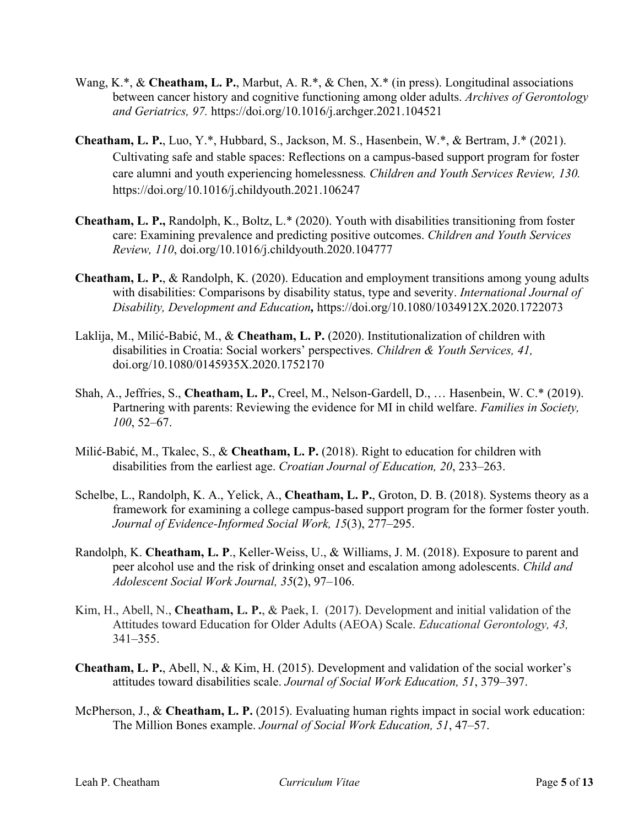- Wang, K.\*, & **Cheatham, L. P.**, Marbut, A. R.\*, & Chen, X.\* (in press). Longitudinal associations between cancer history and cognitive functioning among older adults. *Archives of Gerontology and Geriatrics, 97.* https://doi.org/10.1016/j.archger.2021.104521
- **Cheatham, L. P.**, Luo, Y.\*, Hubbard, S., Jackson, M. S., Hasenbein, W.\*, & Bertram, J.\* (2021). Cultivating safe and stable spaces: Reflections on a campus-based support program for foster care alumni and youth experiencing homelessness*. Children and Youth Services Review, 130.* https://doi.org/10.1016/j.childyouth.2021.106247
- **Cheatham, L. P.,** Randolph, K., Boltz, L.\* (2020). Youth with disabilities transitioning from foster care: Examining prevalence and predicting positive outcomes. *Children and Youth Services Review, 110*, doi.org/10.1016/j.childyouth.2020.104777
- **Cheatham, L. P.**, & Randolph, K. (2020). Education and employment transitions among young adults with disabilities: Comparisons by disability status, type and severity. *International Journal of Disability, Development and Education,* https://doi.org/10.1080/1034912X.2020.1722073
- Laklija, M., Milić-Babić, M., & **Cheatham, L. P.** (2020). Institutionalization of children with disabilities in Croatia: Social workers' perspectives. *Children & Youth Services, 41,*  doi.org/10.1080/0145935X.2020.1752170
- Shah, A., Jeffries, S., **Cheatham, L. P.**, Creel, M., Nelson-Gardell, D., … Hasenbein, W. C.\* (2019). Partnering with parents: Reviewing the evidence for MI in child welfare. *Families in Society, 100*, 52–67.
- Milić-Babić, M., Tkalec, S., & **Cheatham, L. P.** (2018). Right to education for children with disabilities from the earliest age. *Croatian Journal of Education, 20*, 233–263.
- Schelbe, L., Randolph, K. A., Yelick, A., **Cheatham, L. P.**, Groton, D. B. (2018). Systems theory as a framework for examining a college campus-based support program for the former foster youth. *Journal of Evidence-Informed Social Work, 15*(3), 277–295.
- Randolph, K. **Cheatham, L. P**., Keller-Weiss, U., & Williams, J. M. (2018). Exposure to parent and peer alcohol use and the risk of drinking onset and escalation among adolescents. *Child and Adolescent Social Work Journal, 35*(2), 97–106.
- Kim, H., Abell, N., **Cheatham, L. P.**, & Paek, I. (2017). Development and initial validation of the Attitudes toward Education for Older Adults (AEOA) Scale. *Educational Gerontology, 43,*  341–355.
- **Cheatham, L. P.**, Abell, N., & Kim, H. (2015). Development and validation of the social worker's attitudes toward disabilities scale. *Journal of Social Work Education, 51*, 379–397.
- McPherson, J., & **Cheatham, L. P.** (2015). Evaluating human rights impact in social work education: The Million Bones example. *Journal of Social Work Education, 51*, 47–57.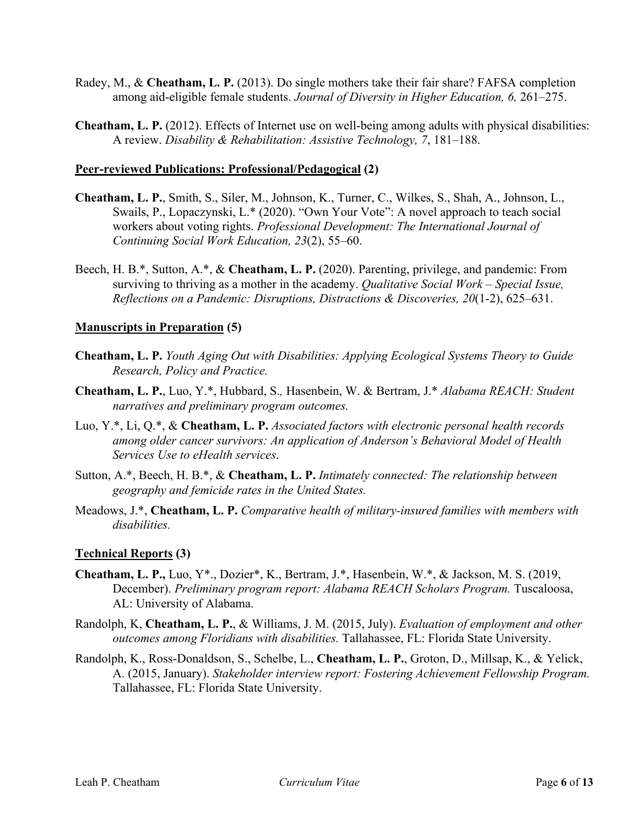- Radey, M., & **Cheatham, L. P.** (2013). Do single mothers take their fair share? FAFSA completion among aid-eligible female students. *Journal of Diversity in Higher Education, 6,* 261–275.
- **Cheatham, L. P.** (2012). Effects of Internet use on well-being among adults with physical disabilities: A review. *Disability & Rehabilitation: Assistive Technology, 7*, 181–188.

### **Peer-reviewed Publications: Professional/Pedagogical (2)**

- **Cheatham, L. P.**, Smith, S., Siler, M., Johnson, K., Turner, C., Wilkes, S., Shah, A., Johnson, L., Swails, P., Lopaczynski, L.\* (2020). "Own Your Vote": A novel approach to teach social workers about voting rights. *Professional Development: The International Journal of Continuing Social Work Education, 23*(2), 55–60.
- Beech, H. B.\*, Sutton, A.\*, & **Cheatham, L. P.** (2020). Parenting, privilege, and pandemic: From surviving to thriving as a mother in the academy. *Qualitative Social Work – Special Issue, Reflections on a Pandemic: Disruptions, Distractions & Discoveries, 20*(1-2), 625–631.

### **Manuscripts in Preparation (5)**

- **Cheatham, L. P.** *Youth Aging Out with Disabilities: Applying Ecological Systems Theory to Guide Research, Policy and Practice.*
- **Cheatham, L. P.**, Luo, Y.\*, Hubbard, S.*,* Hasenbein, W. & Bertram, J.\* *Alabama REACH: Student narratives and preliminary program outcomes.*
- Luo, Y.\*, Li, Q.\*, & **Cheatham, L. P.** *Associated factors with electronic personal health records among older cancer survivors: An application of Anderson's Behavioral Model of Health Services Use to eHealth services*.
- Sutton, A.\*, Beech, H. B.\*, & **Cheatham, L. P.** *Intimately connected: The relationship between geography and femicide rates in the United States.*
- Meadows, J.\*, **Cheatham, L. P.** *Comparative health of military-insured families with members with disabilities.*

#### **Technical Reports (3)**

- **Cheatham, L. P.,** Luo, Y\*., Dozier\*, K., Bertram, J.\*, Hasenbein, W.\*, & Jackson, M. S. (2019, December). *Preliminary program report: Alabama REACH Scholars Program.* Tuscaloosa, AL: University of Alabama.
- Randolph, K, **Cheatham, L. P.**, & Williams, J. M. (2015, July). *Evaluation of employment and other outcomes among Floridians with disabilities.* Tallahassee, FL: Florida State University.
- Randolph, K., Ross-Donaldson, S., Schelbe, L., **Cheatham, L. P.**, Groton, D., Millsap, K., & Yelick, A. (2015, January). *Stakeholder interview report: Fostering Achievement Fellowship Program.* Tallahassee, FL: Florida State University.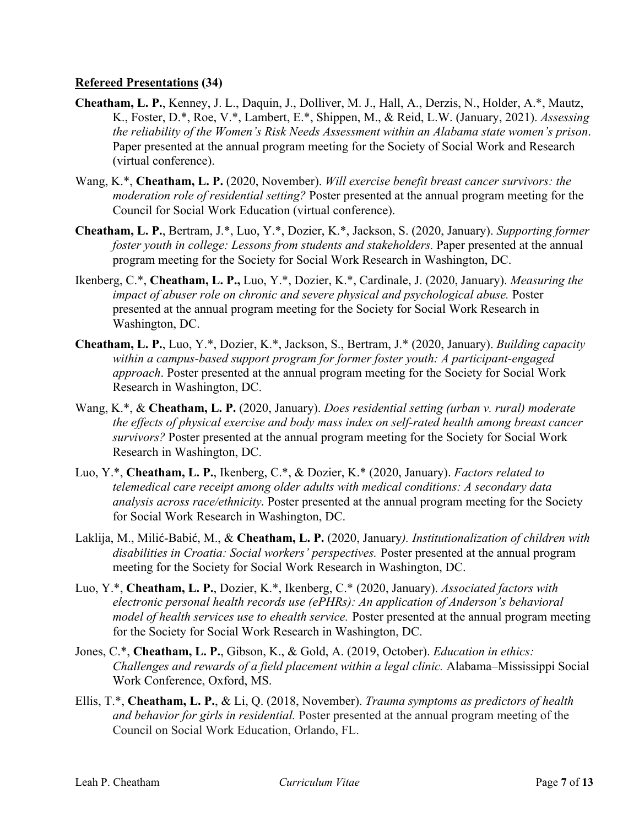### **Refereed Presentations (34)**

- **Cheatham, L. P.**, Kenney, J. L., Daquin, J., Dolliver, M. J., Hall, A., Derzis, N., Holder, A.\*, Mautz, K., Foster, D.\*, Roe, V.\*, Lambert, E.\*, Shippen, M., & Reid, L.W. (January, 2021). *Assessing the reliability of the Women's Risk Needs Assessment within an Alabama state women's prison*. Paper presented at the annual program meeting for the Society of Social Work and Research (virtual conference).
- Wang, K.\*, **Cheatham, L. P.** (2020, November). *Will exercise benefit breast cancer survivors: the moderation role of residential setting?* Poster presented at the annual program meeting for the Council for Social Work Education (virtual conference).
- **Cheatham, L. P.**, Bertram, J.\*, Luo, Y.\*, Dozier, K.\*, Jackson, S. (2020, January). *Supporting former foster youth in college: Lessons from students and stakeholders.* Paper presented at the annual program meeting for the Society for Social Work Research in Washington, DC.
- Ikenberg, C.\*, **Cheatham, L. P.,** Luo, Y.\*, Dozier, K.\*, Cardinale, J. (2020, January). *Measuring the impact of abuser role on chronic and severe physical and psychological abuse.* Poster presented at the annual program meeting for the Society for Social Work Research in Washington, DC.
- **Cheatham, L. P.**, Luo, Y.\*, Dozier, K.\*, Jackson, S., Bertram, J.\* (2020, January). *Building capacity within a campus-based support program for former foster youth: A participant-engaged approach*. Poster presented at the annual program meeting for the Society for Social Work Research in Washington, DC.
- Wang, K.\*, & **Cheatham, L. P.** (2020, January). *Does residential setting (urban v. rural) moderate the effects of physical exercise and body mass index on self-rated health among breast cancer survivors?* Poster presented at the annual program meeting for the Society for Social Work Research in Washington, DC.
- Luo, Y.\*, **Cheatham, L. P.**, Ikenberg, C.\*, & Dozier, K.\* (2020, January). *Factors related to telemedical care receipt among older adults with medical conditions: A secondary data analysis across race/ethnicity.* Poster presented at the annual program meeting for the Society for Social Work Research in Washington, DC.
- Laklija, M., Milić-Babić, M., & **Cheatham, L. P.** (2020, January*). Institutionalization of children with disabilities in Croatia: Social workers' perspectives.* Poster presented at the annual program meeting for the Society for Social Work Research in Washington, DC.
- Luo, Y.\*, **Cheatham, L. P.**, Dozier, K.\*, Ikenberg, C.\* (2020, January). *Associated factors with electronic personal health records use (ePHRs): An application of Anderson's behavioral model of health services use to ehealth service.* Poster presented at the annual program meeting for the Society for Social Work Research in Washington, DC.
- Jones, C.\*, **Cheatham, L. P.**, Gibson, K., & Gold, A. (2019, October). *Education in ethics: Challenges and rewards of a field placement within a legal clinic.* Alabama–Mississippi Social Work Conference, Oxford, MS.
- Ellis, T.\*, **Cheatham, L. P.**, & Li, Q. (2018, November). *Trauma symptoms as predictors of health and behavior for girls in residential.* Poster presented at the annual program meeting of the Council on Social Work Education, Orlando, FL.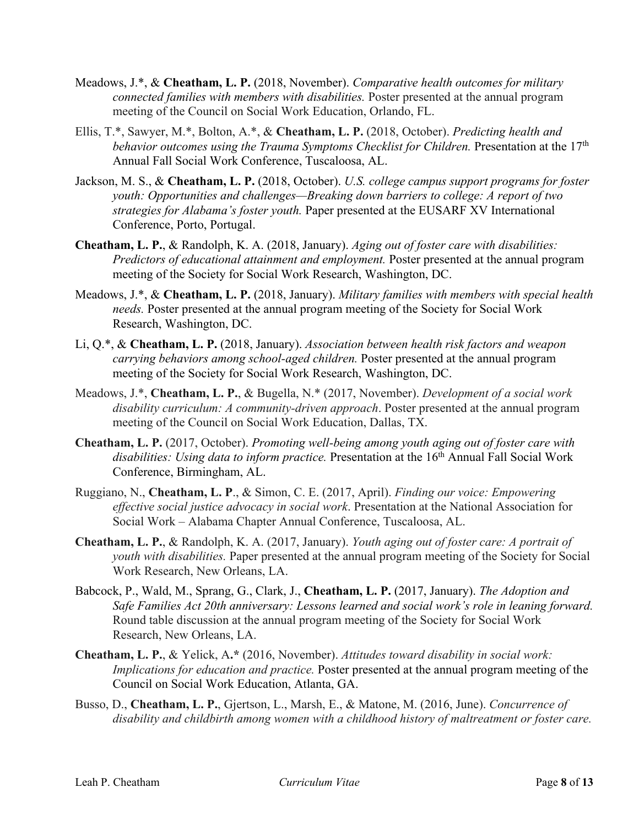- Meadows, J.\*, & **Cheatham, L. P.** (2018, November). *Comparative health outcomes for military connected families with members with disabilities.* Poster presented at the annual program meeting of the Council on Social Work Education, Orlando, FL.
- Ellis, T.\*, Sawyer, M.\*, Bolton, A.\*, & **Cheatham, L. P.** (2018, October). *Predicting health and behavior outcomes using the Trauma Symptoms Checklist for Children.* Presentation at the 17<sup>th</sup> Annual Fall Social Work Conference, Tuscaloosa, AL.
- Jackson, M. S., & **Cheatham, L. P.** (2018, October). *U.S. college campus support programs for foster youth: Opportunities and challenges—Breaking down barriers to college: A report of two strategies for Alabama's foster youth.* Paper presented at the EUSARF XV International Conference, Porto, Portugal.
- **Cheatham, L. P.**, & Randolph, K. A. (2018, January). *Aging out of foster care with disabilities: Predictors of educational attainment and employment.* Poster presented at the annual program meeting of the Society for Social Work Research, Washington, DC.
- Meadows, J.\*, & **Cheatham, L. P.** (2018, January). *Military families with members with special health needs.* Poster presented at the annual program meeting of the Society for Social Work Research, Washington, DC.
- Li, Q.\*, & **Cheatham, L. P.** (2018, January). *Association between health risk factors and weapon carrying behaviors among school-aged children.* Poster presented at the annual program meeting of the Society for Social Work Research, Washington, DC.
- Meadows, J.\*, **Cheatham, L. P.**, & Bugella, N.\* (2017, November). *Development of a social work disability curriculum: A community-driven approach*. Poster presented at the annual program meeting of the Council on Social Work Education, Dallas, TX.
- **Cheatham, L. P.** (2017, October). *Promoting well-being among youth aging out of foster care with*  disabilities: Using data to inform practice. Presentation at the 16<sup>th</sup> Annual Fall Social Work Conference, Birmingham, AL.
- Ruggiano, N., **Cheatham, L. P**., & Simon, C. E. (2017, April). *Finding our voice: Empowering effective social justice advocacy in social work*. Presentation at the National Association for Social Work – Alabama Chapter Annual Conference, Tuscaloosa, AL.
- **Cheatham, L. P.**, & Randolph, K. A. (2017, January). *Youth aging out of foster care: A portrait of youth with disabilities.* Paper presented at the annual program meeting of the Society for Social Work Research, New Orleans, LA.
- Babcock, P., Wald, M., Sprang, G., Clark, J., **Cheatham, L. P.** (2017, January). *The Adoption and Safe Families Act 20th anniversary: Lessons learned and social work's role in leaning forward.* Round table discussion at the annual program meeting of the Society for Social Work Research, New Orleans, LA.
- **Cheatham, L. P.**, & Yelick, A**.\*** (2016, November). *Attitudes toward disability in social work: Implications for education and practice.* Poster presented at the annual program meeting of the Council on Social Work Education, Atlanta, GA.
- Busso, D., **Cheatham, L. P.**, Gjertson, L., Marsh, E., & Matone, M. (2016, June). *Concurrence of disability and childbirth among women with a childhood history of maltreatment or foster care.*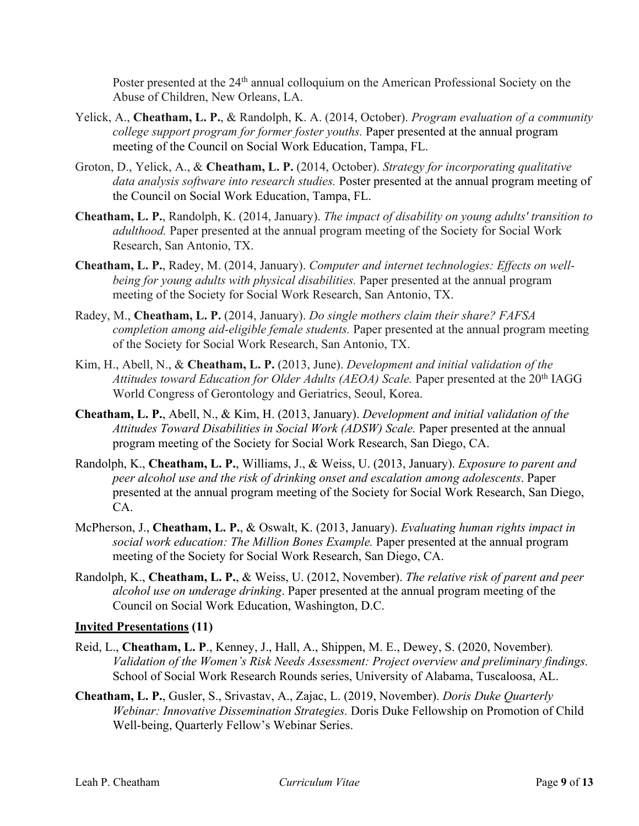Poster presented at the 24<sup>th</sup> annual colloquium on the American Professional Society on the Abuse of Children, New Orleans, LA.

- Yelick, A., **Cheatham, L. P.**, & Randolph, K. A. (2014, October). *Program evaluation of a community college support program for former foster youths.* Paper presented at the annual program meeting of the Council on Social Work Education, Tampa, FL.
- Groton, D., Yelick, A., & **Cheatham, L. P.** (2014, October). *Strategy for incorporating qualitative data analysis software into research studies.* Poster presented at the annual program meeting of the Council on Social Work Education, Tampa, FL.
- **Cheatham, L. P.**, Randolph, K. (2014, January). *The impact of disability on young adults' transition to adulthood.* Paper presented at the annual program meeting of the Society for Social Work Research, San Antonio, TX.
- **Cheatham, L. P.**, Radey, M. (2014, January). *Computer and internet technologies: Effects on wellbeing for young adults with physical disabilities.* Paper presented at the annual program meeting of the Society for Social Work Research, San Antonio, TX.
- Radey, M., **Cheatham, L. P.** (2014, January). *Do single mothers claim their share? FAFSA completion among aid-eligible female students.* Paper presented at the annual program meeting of the Society for Social Work Research, San Antonio, TX.
- Kim, H., Abell, N., & **Cheatham, L. P.** (2013, June). *Development and initial validation of the*  Attitudes toward Education for Older Adults (AEOA) Scale. Paper presented at the 20<sup>th</sup> IAGG World Congress of Gerontology and Geriatrics, Seoul, Korea.
- **Cheatham, L. P.**, Abell, N., & Kim, H. (2013, January). *Development and initial validation of the Attitudes Toward Disabilities in Social Work (ADSW) Scale.* Paper presented at the annual program meeting of the Society for Social Work Research, San Diego, CA.
- Randolph, K., **Cheatham, L. P.**, Williams, J., & Weiss, U. (2013, January). *Exposure to parent and peer alcohol use and the risk of drinking onset and escalation among adolescents*. Paper presented at the annual program meeting of the Society for Social Work Research, San Diego, CA.
- McPherson, J., **Cheatham, L. P.**, & Oswalt, K. (2013, January). *Evaluating human rights impact in social work education: The Million Bones Example.* Paper presented at the annual program meeting of the Society for Social Work Research, San Diego, CA.
- Randolph, K., **Cheatham, L. P.**, & Weiss, U. (2012, November). *The relative risk of parent and peer alcohol use on underage drinking*. Paper presented at the annual program meeting of the Council on Social Work Education, Washington, D.C.

### **Invited Presentations (11)**

- Reid, L., **Cheatham, L. P**., Kenney, J., Hall, A., Shippen, M. E., Dewey, S. (2020, November)*. Validation of the Women's Risk Needs Assessment: Project overview and preliminary findings.*  School of Social Work Research Rounds series, University of Alabama, Tuscaloosa, AL.
- **Cheatham, L. P.**, Gusler, S., Srivastav, A., Zajac, L. (2019, November). *Doris Duke Quarterly Webinar: Innovative Dissemination Strategies.* Doris Duke Fellowship on Promotion of Child Well-being, Quarterly Fellow's Webinar Series.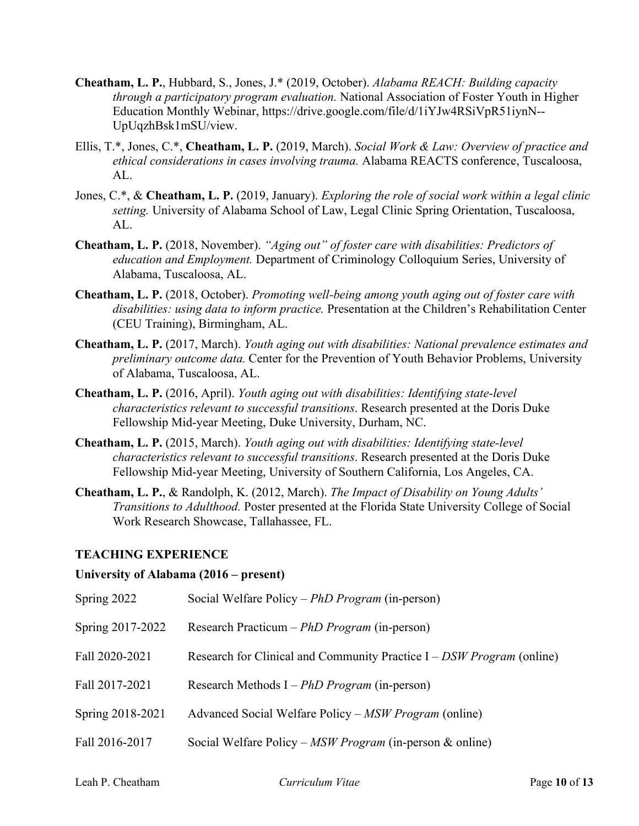- **Cheatham, L. P.**, Hubbard, S., Jones, J.\* (2019, October). *Alabama REACH: Building capacity through a participatory program evaluation.* National Association of Foster Youth in Higher Education Monthly Webinar, https://drive.google.com/file/d/1iYJw4RSiVpR51iynN-- UpUqzhBsk1mSU/view.
- Ellis, T.\*, Jones, C.\*, **Cheatham, L. P.** (2019, March). *Social Work & Law: Overview of practice and ethical considerations in cases involving trauma.* Alabama REACTS conference, Tuscaloosa, AL.
- Jones, C.\*, & **Cheatham, L. P.** (2019, January). *Exploring the role of social work within a legal clinic setting.* University of Alabama School of Law, Legal Clinic Spring Orientation, Tuscaloosa, AL.
- **Cheatham, L. P.** (2018, November). *"Aging out" of foster care with disabilities: Predictors of education and Employment.* Department of Criminology Colloquium Series, University of Alabama, Tuscaloosa, AL.
- **Cheatham, L. P.** (2018, October). *Promoting well-being among youth aging out of foster care with disabilities: using data to inform practice.* Presentation at the Children's Rehabilitation Center (CEU Training), Birmingham, AL.
- **Cheatham, L. P.** (2017, March). *Youth aging out with disabilities: National prevalence estimates and preliminary outcome data.* Center for the Prevention of Youth Behavior Problems, University of Alabama, Tuscaloosa, AL.
- **Cheatham, L. P.** (2016, April). *Youth aging out with disabilities: Identifying state-level characteristics relevant to successful transitions*. Research presented at the Doris Duke Fellowship Mid-year Meeting, Duke University, Durham, NC.
- **Cheatham, L. P.** (2015, March). *Youth aging out with disabilities: Identifying state-level characteristics relevant to successful transitions*. Research presented at the Doris Duke Fellowship Mid-year Meeting, University of Southern California, Los Angeles, CA.
- **Cheatham, L. P.**, & Randolph, K. (2012, March). *The Impact of Disability on Young Adults' Transitions to Adulthood.* Poster presented at the Florida State University College of Social Work Research Showcase, Tallahassee, FL.

### **TEACHING EXPERIENCE**

### **University of Alabama (2016 – present)**

| Spring 2022      | Social Welfare Policy – PhD Program (in-person)                         |
|------------------|-------------------------------------------------------------------------|
| Spring 2017-2022 | Research Practicum – PhD Program (in-person)                            |
| Fall 2020-2021   | Research for Clinical and Community Practice $I$ – DSW Program (online) |
| Fall 2017-2021   | Research Methods $I - PhD Program (in-person)$                          |
| Spring 2018-2021 | Advanced Social Welfare Policy – MSW Program (online)                   |
| Fall 2016-2017   | Social Welfare Policy – $MSW Program$ (in-person & online)              |
|                  |                                                                         |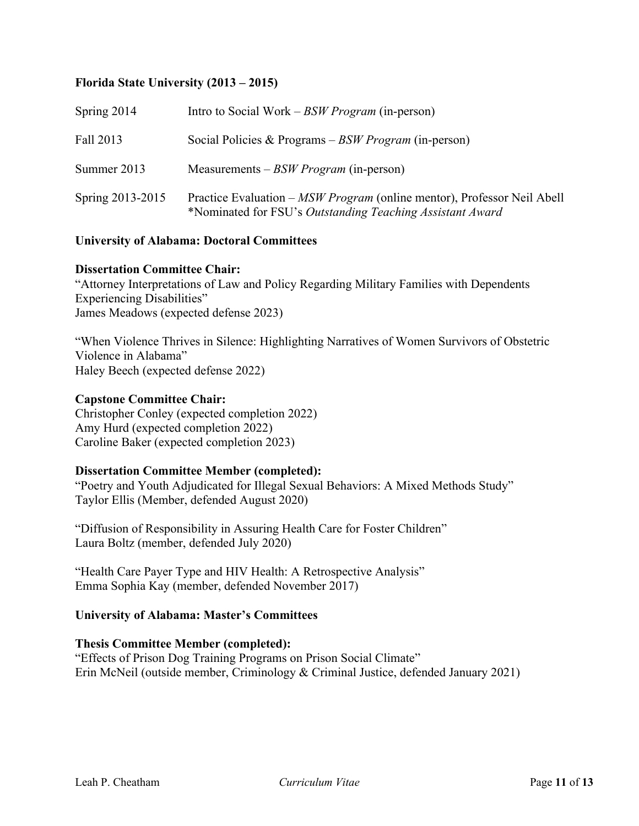### **Florida State University (2013 – 2015)**

| Spring 2014      | Intro to Social Work – $BSWProgram$ (in-person)                                                                                      |
|------------------|--------------------------------------------------------------------------------------------------------------------------------------|
| Fall 2013        | Social Policies & Programs $-BSW Program$ (in-person)                                                                                |
| Summer 2013      | Measurements $-BSW Program$ (in-person)                                                                                              |
| Spring 2013-2015 | Practice Evaluation – MSW Program (online mentor), Professor Neil Abell<br>*Nominated for FSU's Outstanding Teaching Assistant Award |

### **University of Alabama: Doctoral Committees**

#### **Dissertation Committee Chair:**

"Attorney Interpretations of Law and Policy Regarding Military Families with Dependents Experiencing Disabilities" James Meadows (expected defense 2023)

"When Violence Thrives in Silence: Highlighting Narratives of Women Survivors of Obstetric Violence in Alabama" Haley Beech (expected defense 2022)

#### **Capstone Committee Chair:**

Christopher Conley (expected completion 2022) Amy Hurd (expected completion 2022) Caroline Baker (expected completion 2023)

### **Dissertation Committee Member (completed):**

"Poetry and Youth Adjudicated for Illegal Sexual Behaviors: A Mixed Methods Study" Taylor Ellis (Member, defended August 2020)

"Diffusion of Responsibility in Assuring Health Care for Foster Children" Laura Boltz (member, defended July 2020)

"Health Care Payer Type and HIV Health: A Retrospective Analysis" Emma Sophia Kay (member, defended November 2017)

### **University of Alabama: Master's Committees**

### **Thesis Committee Member (completed):**

"Effects of Prison Dog Training Programs on Prison Social Climate" Erin McNeil (outside member, Criminology & Criminal Justice, defended January 2021)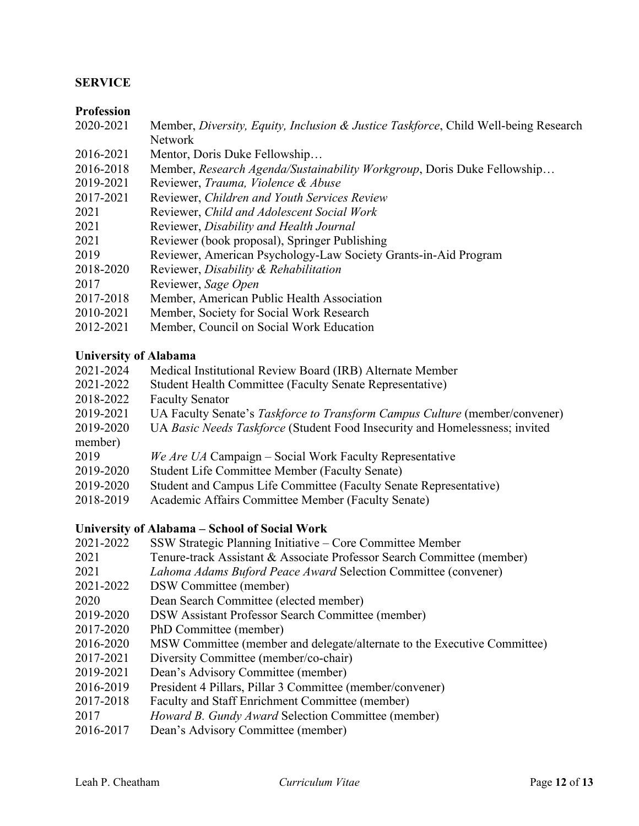### **SERVICE**

### **Profession**

| 2020-2021 | Member, Diversity, Equity, Inclusion & Justice Taskforce, Child Well-being Research |  |  |  |  |
|-----------|-------------------------------------------------------------------------------------|--|--|--|--|
|           | Network                                                                             |  |  |  |  |

- 2016-2021 Mentor, Doris Duke Fellowship…
- 2016-2018 Member, *Research Agenda/Sustainability Workgroup*, Doris Duke Fellowship…
- 2019-2021 Reviewer, *Trauma, Violence & Abuse*
- 2017-2021 Reviewer, *Children and Youth Services Review*
- 2021 Reviewer, *Child and Adolescent Social Work*
- 2021 Reviewer, *Disability and Health Journal*
- 2021 Reviewer (book proposal), Springer Publishing
- 2019 Reviewer, American Psychology-Law Society Grants-in-Aid Program
- 2018-2020 Reviewer, *Disability & Rehabilitation*
- 2017 Reviewer, *Sage Open*
- 2017-2018 Member, American Public Health Association
- 2010-2021 Member, Society for Social Work Research
- 2012-2021 Member, Council on Social Work Education

### **University of Alabama**

| 2021-2024 | Medical Institutional Review Board (IRB) Alternate Member                   |
|-----------|-----------------------------------------------------------------------------|
| 2021-2022 | Student Health Committee (Faculty Senate Representative)                    |
| 2018-2022 | <b>Faculty Senator</b>                                                      |
| 2019-2021 | UA Faculty Senate's Taskforce to Transform Campus Culture (member/convener) |
| 2019-2020 | UA Basic Needs Taskforce (Student Food Insecurity and Homelessness; invited |
| member)   |                                                                             |
| 2019      | We Are UA Campaign – Social Work Faculty Representative                     |
| 2019-2020 | Student Life Committee Member (Faculty Senate)                              |
| 2019-2020 | Student and Campus Life Committee (Faculty Senate Representative)           |
| 2018-2019 | Academic Affairs Committee Member (Faculty Senate)                          |

#### **University of Alabama – School of Social Work**

- 2021-2022 SSW Strategic Planning Initiative Core Committee Member 2021 Tenure-track Assistant & Associate Professor Search Committee (member) 2021 *Lahoma Adams Buford Peace Award* Selection Committee (convener) 2021-2022 DSW Committee (member) 2020 Dean Search Committee (elected member) 2019-2020 DSW Assistant Professor Search Committee (member) 2017-2020 PhD Committee (member) 2016-2020 MSW Committee (member and delegate/alternate to the Executive Committee) 2017-2021 Diversity Committee (member/co-chair) 2019-2021 Dean's Advisory Committee (member) 2016-2019 President 4 Pillars, Pillar 3 Committee (member/convener) 2017-2018 Faculty and Staff Enrichment Committee (member) 2017 *Howard B. Gundy Award* Selection Committee (member)
- 2016-2017 Dean's Advisory Committee (member)